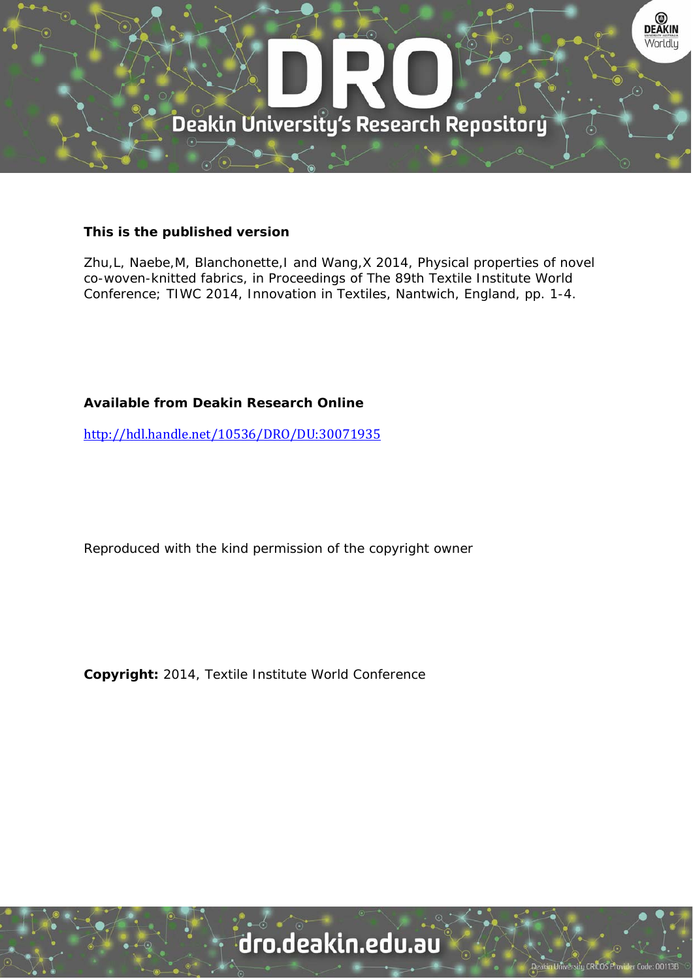

#### **This is the published version**

Zhu,L, Naebe,M, Blanchonette,I and Wang,X 2014, Physical properties of novel co-woven-knitted fabrics, in Proceedings of The 89th Textile Institute World Conference; TIWC 2014, Innovation in Textiles, Nantwich, England, pp. 1-4.

# **Available from Deakin Research Online**

http://hdl.handle.net/10536/DRO/DU:30071935

Reproduced with the kind permission of the copyright owner

**Copyright:** 2014, Textile Institute World Conference

# dro.deakin.edu.au

tu CRICOS Pro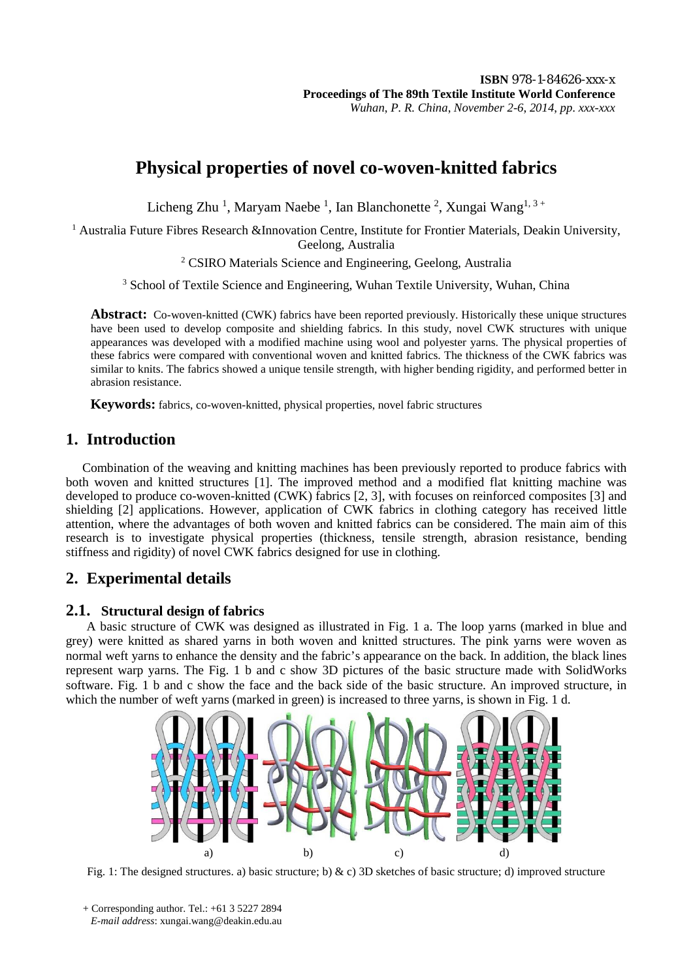# **Physical properties of novel co-woven-knitted fabrics**

Licheng Zhu<sup>1</sup>, Maryam Naebe<sup>1</sup>, Ian Blanchonette<sup>2</sup>, Xungai Wang<sup>1,3+</sup>

<sup>1</sup> Australia Future Fibres Research &Innovation Centre, Institute for Frontier Materials, Deakin University, Geelong, Australia

<sup>2</sup> CSIRO Materials Science and Engineering, Geelong, Australia

<sup>3</sup> School of Textile Science and Engineering, Wuhan Textile University, Wuhan, China

**Abstract:** Co-woven-knitted (CWK) fabrics have been reported previously. Historically these unique structures have been used to develop composite and shielding fabrics. In this study, novel CWK structures with unique appearances was developed with a modified machine using wool and polyester yarns. The physical properties of these fabrics were compared with conventional woven and knitted fabrics. The thickness of the CWK fabrics was similar to knits. The fabrics showed a unique tensile strength, with higher bending rigidity, and performed better in abrasion resistance.

**Keywords:** fabrics, co-woven-knitted, physical properties, novel fabric structures

# **1. Introduction**

Combination of the weaving and knitting machines has been previously reported to produce fabrics with both woven and knitted structures [1]. The improved method and a modified flat knitting machine was developed to produce co-woven-knitted (CWK) fabrics [2, 3], with focuses on reinforced composites [3] and shielding [2] applications. However, application of CWK fabrics in clothing category has received little attention, where the advantages of both woven and knitted fabrics can be considered. The main aim of this research is to investigate physical properties (thickness, tensile strength, abrasion resistance, bending stiffness and rigidity) of novel CWK fabrics designed for use in clothing.

# **2. Experimental details**

### **2.1. Structural design of fabrics**

A basic structure of CWK was designed as illustrated in Fig. 1 a. The loop yarns (marked in blue and grey) were knitted as shared yarns in both woven and knitted structures. The pink yarns were woven as normal weft yarns to enhance the density and the fabric's appearance on the back. In addition, the black lines represent warp yarns. The Fig. 1 b and c show 3D pictures of the basic structure made with SolidWorks software. Fig. 1 b and c show the face and the back side of the basic structure. An improved structure, in which the number of weft yarns (marked in green) is increased to three yarns, is shown in Fig. 1 d.



Fig. 1: The designed structures. a) basic structure; b) & c) 3D sketches of basic structure; d) improved structure

<sup>+</sup> Corresponding author. Tel.: +61 3 5227 2894  *E-mail address*: xungai.wang@deakin.edu.au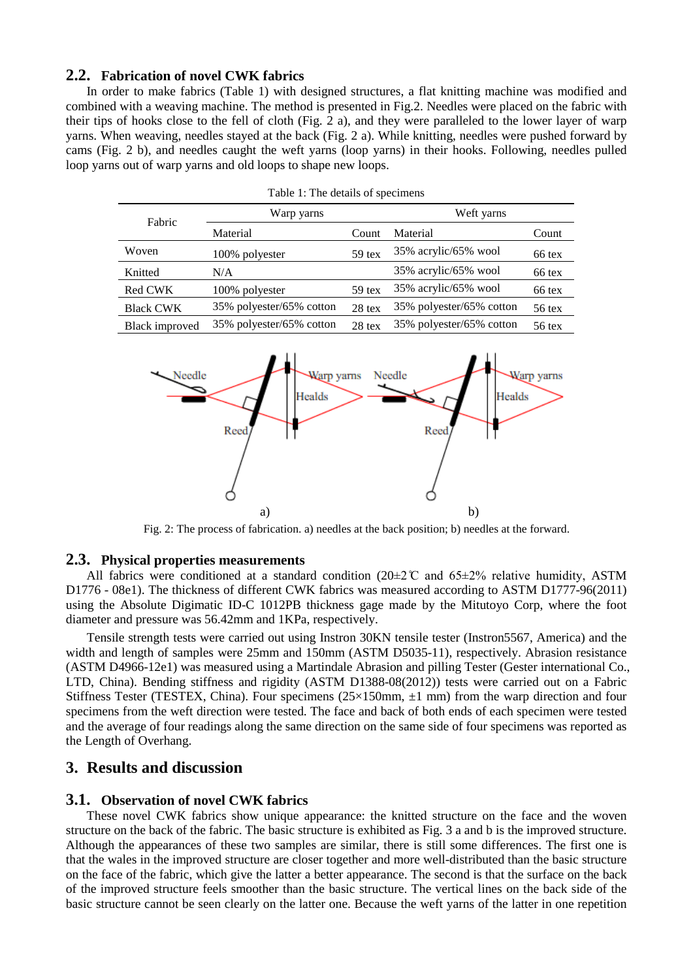#### **2.2. Fabrication of novel CWK fabrics**

In order to make fabrics (Table 1) with designed structures, a flat knitting machine was modified and combined with a weaving machine. The method is presented in Fig.2. Needles were placed on the fabric with their tips of hooks close to the fell of cloth (Fig. 2 a), and they were paralleled to the lower layer of warp yarns. When weaving, needles stayed at the back (Fig. 2 a). While knitting, needles were pushed forward by cams (Fig. 2 b), and needles caught the weft yarns (loop yarns) in their hooks. Following, needles pulled loop yarns out of warp yarns and old loops to shape new loops.

| r able 1. The actumb of specificity |                          |          |                          |          |  |  |  |  |  |  |
|-------------------------------------|--------------------------|----------|--------------------------|----------|--|--|--|--|--|--|
| Fabric                              | Warp yarns               |          | Weft yarns               |          |  |  |  |  |  |  |
|                                     | Material                 | Count    | Material                 | Count    |  |  |  |  |  |  |
| Woven                               | 100% polyester           | $59$ tex | 35% acrylic/65% wool     | 66 tex   |  |  |  |  |  |  |
| Knitted                             | N/A                      |          | 35% acrylic/65% wool     | 66 tex   |  |  |  |  |  |  |
| Red CWK                             | 100% polyester           | $59$ tex | 35% acrylic/65% wool     | 66 tex   |  |  |  |  |  |  |
| <b>Black CWK</b>                    | 35% polyester/65% cotton | 28 tex   | 35% polyester/65% cotton | $56$ tex |  |  |  |  |  |  |
| Black improved                      | 35% polyester/65% cotton | $28$ tex | 35% polyester/65% cotton | $56$ tex |  |  |  |  |  |  |





Fig. 2: The process of fabrication. a) needles at the back position; b) needles at the forward.

#### **2.3. Physical properties measurements**

All fabrics were conditioned at a standard condition ( $20\pm2\degree$  C and  $65\pm2\%$  relative humidity, ASTM D1776 - 08e1). The thickness of different CWK fabrics was measured according to ASTM D1777-96(2011) using the Absolute Digimatic ID-C 1012PB thickness gage made by the Mitutoyo Corp, where the foot diameter and pressure was 56.42mm and 1KPa, respectively.

Tensile strength tests were carried out using Instron 30KN tensile tester (Instron5567, America) and the width and length of samples were 25mm and 150mm (ASTM D5035-11), respectively. Abrasion resistance (ASTM D4966-12e1) was measured using a Martindale Abrasion and pilling Tester (Gester international Co., LTD, China). Bending stiffness and rigidity (ASTM D1388-08(2012)) tests were carried out on a Fabric Stiffness Tester (TESTEX, China). Four specimens (25×150mm, ±1 mm) from the warp direction and four specimens from the weft direction were tested. The face and back of both ends of each specimen were tested and the average of four readings along the same direction on the same side of four specimens was reported as the Length of Overhang.

#### **3. Results and discussion**

#### **3.1. Observation of novel CWK fabrics**

These novel CWK fabrics show unique appearance: the knitted structure on the face and the woven structure on the back of the fabric. The basic structure is exhibited as Fig. 3 a and b is the improved structure. Although the appearances of these two samples are similar, there is still some differences. The first one is that the wales in the improved structure are closer together and more well-distributed than the basic structure on the face of the fabric, which give the latter a better appearance. The second is that the surface on the back of the improved structure feels smoother than the basic structure. The vertical lines on the back side of the basic structure cannot be seen clearly on the latter one. Because the weft yarns of the latter in one repetition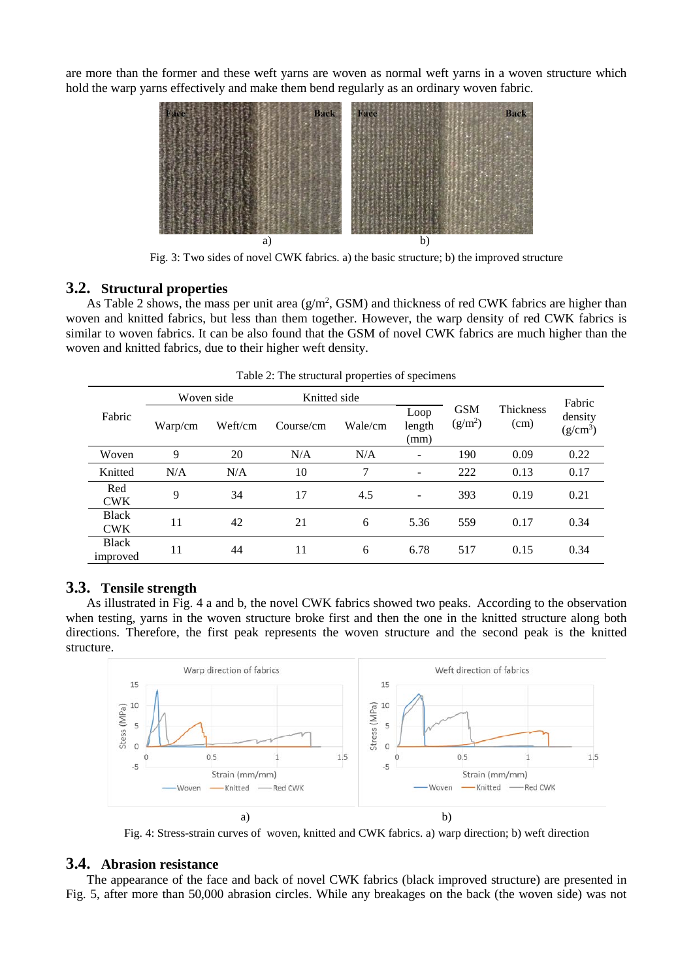are more than the former and these weft yarns are woven as normal weft yarns in a woven structure which hold the warp yarns effectively and make them bend regularly as an ordinary woven fabric.



Fig. 3: Two sides of novel CWK fabrics. a) the basic structure; b) the improved structure

#### **3.2. Structural properties**

As Table 2 shows, the mass per unit area  $(g/m^2, GSM)$  and thickness of red CWK fabrics are higher than woven and knitted fabrics, but less than them together. However, the warp density of red CWK fabrics is similar to woven fabrics. It can be also found that the GSM of novel CWK fabrics are much higher than the woven and knitted fabrics, due to their higher weft density.

| Fabric                     | Woven side |         | Knitted side |         |                          |                         |                   | Fabric                |
|----------------------------|------------|---------|--------------|---------|--------------------------|-------------------------|-------------------|-----------------------|
|                            | Warp/cm    | Weft/cm | Course/cm    | Wale/cm | Loop<br>length<br>(mm)   | <b>GSM</b><br>$(g/m^2)$ | Thickness<br>(cm) | density<br>$(g/cm^3)$ |
| Woven                      | 9          | 20      | N/A          | N/A     | $\qquad \qquad -$        | 190                     | 0.09              | 0.22                  |
| Knitted                    | N/A        | N/A     | 10           | 7       | $\overline{\phantom{a}}$ | 222                     | 0.13              | 0.17                  |
| Red<br><b>CWK</b>          | 9          | 34      | 17           | 4.5     | $\overline{\phantom{a}}$ | 393                     | 0.19              | 0.21                  |
| <b>Black</b><br><b>CWK</b> | 11         | 42      | 21           | 6       | 5.36                     | 559                     | 0.17              | 0.34                  |
| <b>Black</b><br>improved   | 11         | 44      | 11           | 6       | 6.78                     | 517                     | 0.15              | 0.34                  |

Table 2: The structural properties of specimens

#### **3.3. Tensile strength**

As illustrated in Fig. 4 a and b, the novel CWK fabrics showed two peaks. According to the observation when testing, yarns in the woven structure broke first and then the one in the knitted structure along both directions. Therefore, the first peak represents the woven structure and the second peak is the knitted structure.



Fig. 4: Stress-strain curves of woven, knitted and CWK fabrics. a) warp direction; b) weft direction

### **3.4. Abrasion resistance**

The appearance of the face and back of novel CWK fabrics (black improved structure) are presented in Fig. 5, after more than 50,000 abrasion circles. While any breakages on the back (the woven side) was not